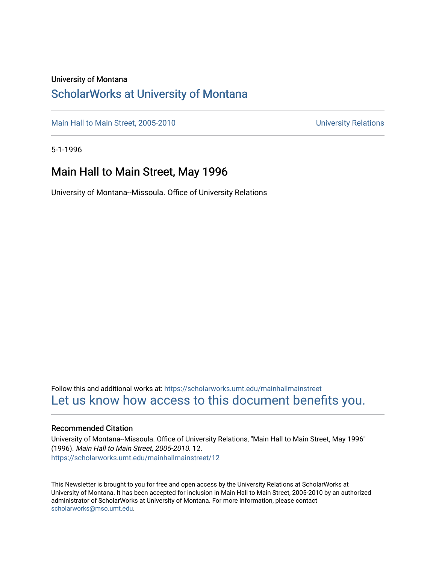#### University of Montana

#### [ScholarWorks at University of Montana](https://scholarworks.umt.edu/)

[Main Hall to Main Street, 2005-2010](https://scholarworks.umt.edu/mainhallmainstreet) Main Hall to Main Street, 2005-2010

5-1-1996

#### Main Hall to Main Street, May 1996

University of Montana--Missoula. Office of University Relations

Follow this and additional works at: [https://scholarworks.umt.edu/mainhallmainstreet](https://scholarworks.umt.edu/mainhallmainstreet?utm_source=scholarworks.umt.edu%2Fmainhallmainstreet%2F12&utm_medium=PDF&utm_campaign=PDFCoverPages) [Let us know how access to this document benefits you.](https://goo.gl/forms/s2rGfXOLzz71qgsB2) 

#### Recommended Citation

University of Montana--Missoula. Office of University Relations, "Main Hall to Main Street, May 1996" (1996). Main Hall to Main Street, 2005-2010. 12. [https://scholarworks.umt.edu/mainhallmainstreet/12](https://scholarworks.umt.edu/mainhallmainstreet/12?utm_source=scholarworks.umt.edu%2Fmainhallmainstreet%2F12&utm_medium=PDF&utm_campaign=PDFCoverPages) 

This Newsletter is brought to you for free and open access by the University Relations at ScholarWorks at University of Montana. It has been accepted for inclusion in Main Hall to Main Street, 2005-2010 by an authorized administrator of ScholarWorks at University of Montana. For more information, please contact [scholarworks@mso.umt.edu.](mailto:scholarworks@mso.umt.edu)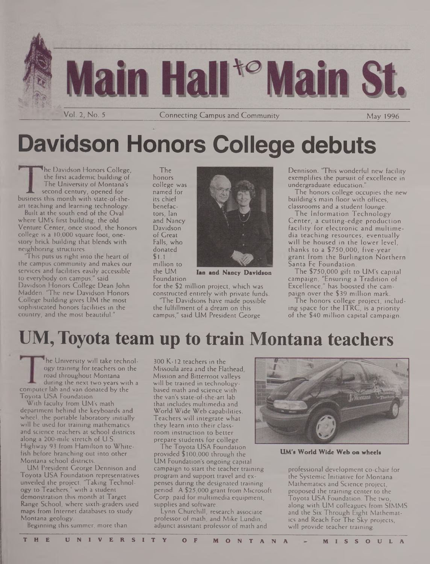

# **Davidson Honors College debuts**

**The Davidson Honors College,** the first academic building of The University of Montana's **JL** second century, opened for business this month with state-of-theart teaching and learning technology.

Built at the south end of the Oval where UM's first building, the old Venture Center, once stood, the honors college is a 10,000 square foot, onestory brick building that blends with neighboring structures.

'This puts us right into the heart of the campus community and makes our services and facilities easily accessible to everybody on campus," said Davidson Honors College Dean John Madden. 'The new Davidson Honors College building gives UM the most sophisticated honors facilities in the country, and the most beautiful."

The honors college was named for its chief benefactors, Ian and Nancy Davidson<sup>1</sup> of Great Falls, who donated \$1.1 million to the UM



**Ian and Nancy Davidson**

Foundation for the \$2 million project, which was constructed entirely with private funds.

'The Davidsons have made possible the fulfillment of a dream on this campus," said UM President George

Dennison. 'This wonderful new facility exemplifies the pursuit of excellence in undergraduate education."

The honors college occupies the new building's main floor with offices, classrooms and a student lounge.

The Information Technology Center, a cutting-edge production facility for electronic and multimedia teaching resources, eventually will be housed in the lower level, thanks to a \$750,000, five-year grant from the Burlington Northern Santa Fe Foundation.

The \$750,000 gift to UM's capital campaign, "Ensuring a Tradition of Excellence," has boosted the campaign over the \$39 million mark.

The honors college project, including space for the ITRC, is a priority of the \$40 million capital campaign.

## **UM, Toyota team up to train Montana teachers**

'he University will take technology training for teachers on the road throughout Montana during the next two years with a computer lab and van donated by the Toyota USA Foundation.

With faculty from UM's math department behind the keyboards and wheel, the portable laboratory initially will be used for training mathematics and science teachers at school districts along a 200-mile stretch of U.S. Highway 93 from Hamilton to Whitefish before branching out into other Montana school districts.

UM President George Dennison and Toyota USA Foundation representatives unveiled the project, Taking Technology to Teachers," with a student demonstration this month at Target Range School, where sixth-graders used maps from Internet databases to study Montana geology.

Beginning this summer, more than

300 K-12 teachers in the Missoula area and the Flathead, Mission and Bitterroot valleys will be trained in technologybased math and science with the van's state-of-the-art lab that includes multimedia and World Wide Web capabilities. Teachers will integrate what they learn into their classroom instruction to better prepare students for college.

The Toyota USA Foundation provided \$100,000 through the UM Foundation's ongoing capital campaign to start the teacher training program and support travel and expenses during the designated training period. A \$25,000 grant from Microsoft Corp, paid for multimedia equipment, supplies and software.

Lynn Churchill, research associate professor of math, and Mike Lundin, adjunct assistant professor of math and



**UM's World Wide Web on wheels**

professional development co-chair for the Systemic Initiative for Montana Mathematics and Science project, proposed the training center to the Toyota USA Foundation. The two, along with UM colleagues from SIMMS and the Six Through Eight Mathematics and Reach For The Sky projects, will provide teacher training.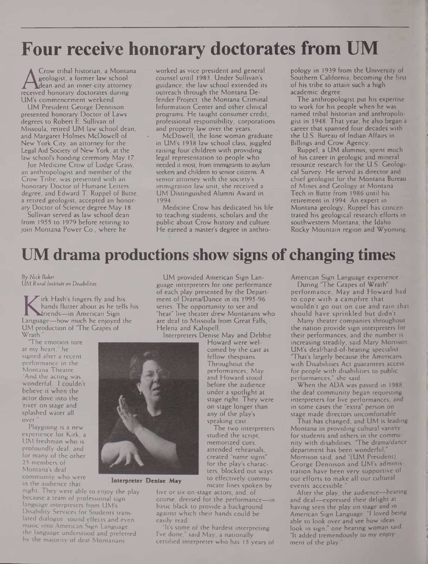## **Four receive honorary doctorates from UM**

Recologist, a former law school<br>dean and an inner-city attorney<br>received honorary doctorates during<br>UM's commencement weekend Crow tribal historian, a Montana geologist, a former law school dean and an inner-city attorney UM's commencement weekend.

UM President George Dennison presented honorary Doctor of Laws degrees to Robert E. Sullivan of Missoula, retired UM law school dean, and Margaret Holmes McDowell of New York City, an attorney for the Legal Aid Society of New York, at the law school's hooding ceremony May 17.

Joe Medicine Crow of Lodge Grass, an anthropologist and member of the Crow Tribe, was presented with an honorary Doctor of Humane Letters degree, and Edward T. Ruppel of Butte, a retired geologist, accepted an honorary Doctor of Science degree May 18.

Sullivan served as law school dean from 1955 to 1979 before retiring to join Montana Power Co., where he

worked as vice president and general counsel until 1983. Under Sullivan's guidance, the law school extended its outreach through the Montana Defender Project, the Montana Criminal Information Center and other clinical programs. He taught consumer credit, professional responsibility, corporations and property law over the years.

McDowell, the lone woman graduate in UM's 1938 law school class, juggled raising four children with providing legal representation to people who needed it most, from immigrants to asylum seekers and children to senior citizens. A senior attorney with the society's immigration law unit, she received a UM Distinguished Alumni Award in 1994.

Medicine Crow has dedicated his life to teaching students, scholars and the public about Crow history and culture. He earned a master's degree in anthro-

pology in 1939 from the University of Southern California, becoming the first of his tribe to attain such a high academic degree.

The anthropologist put his expertise to work for his people when he was named tribal historian and anthropologist in 1948. That year, he also began a career that spanned four decades with the U.S. Bureau of Indian Affairs in Billings and Crow Agency.

Ruppel, a UM alumnus, spent much of his career in geologic and mineral resource research for the U.S. Geological Survey. He served as director and chief geologist for the Montana Bureau of Mines and Geology at Montana Tech in Butte from 1986 until his retirement in 1994. An expert in Montana geology, Ruppel has concentrated his geological research efforts in southwestern Montana, the Idaho Rocky Mountain region and Wyoming.

### **UM drama productions show signs of changing times**

By *Nick Baker UM Rural Institute on Disabilities*

hands flutter about as he tells his<br>
friends—in American Sign<br>
Language—how much he enjoyed the<br>
IM production of 'The Crapes of irk Hash's fingers fly and his hands flutter about as he tells his friends—in American Sign UM production of 'The Grapes of Wrath.

The emotion tore at my heart," he signed after a recent performance in the Montana Theatre. "And the acting was wonderful. <sup>I</sup> couldn't believe it when the actor dove into the 'river on stage and splashed water all over.

Playgoing is a new experience for Kirk, a UM freshman who is profoundly deaf, and for many of the other 25 members of Montana's deaf community who were in the audience that

night. They were able to enjoy the play because a team of professional sign language interpreters from UM's Disability Services for Students translated dialogue, sound effects and even music into American Sign Language, the language understood and preferred by the majority of deaf Montanans.

UM provided American Sign Language interpreters for one performance of each play presented by the Department of Drama/Dance in its 1995-96 series. The opportunity to see and "hear" live theater drew Montanans who are deaf to Missoula from Great Falls, Helena and Kalispell.

Interpreters Denise May and Debbie

Howard were welcomed by the cast as fellow thespians. Throughout the performances. May and Howard stood before the audience under a spotlight at stage right. They were on stage longer than any of the play's speaking cast.

The two interpreters studied the script, memorized cues, attended rehearsals, created "name signs" for the play's characters, blocked out ways to effectively communicate lines spoken by

five or six on-stage actors, and, of course, dressed for the performance—in basic black to provide a background against which their hands could be easily read.

"It's some of the hardest interpreting I've done," said May, a nationally certified interpreter who has 15 years of American Sign Language experience.

During 'The Grapes of Wrath" performance. May and Howard had to cope with a campfire that wouldn't go out on cue and rain that should have sprinkled but didn't.

Many theater companies throughout the nation provide sign interpreters for their performances, and the number is increasing steadily, said Mary Morrison, UM's deaf/hard-of-hearing specialist. 'That's largely because the Americans with Disabilities Act guarantees access for people with disabilities to public performances," she said.

When the ADA was passed in 1988, the deaf community began requesting interpreters for live performances, and in some cases the "extra" person on stage made directors uncomfortable.

That has changed, and UM is leading Montana in providing cultural variety for students and others in the community with disabilities. "The drama/dance department has been wonderful, Morrison said, and "(UM President) George Dennison and UM's administration have been very supportive of our efforts to make all our cultural events accessible.

After the play, the audience—hearing and deaf—expressed their delight at having seen the play on stage and in American Sign Language. "I loved being able to look over and see how ideas look in sign," one hearing woman said. "It added tremendously to my enjoyment of the play.



**Interpreter Denise May**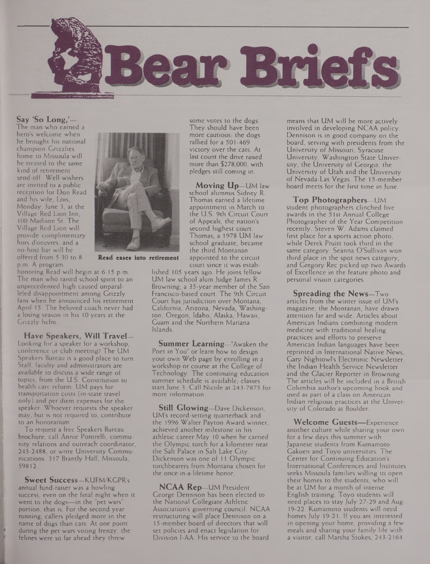

**Say 'So Long,'—**

The man who earned a hero's welcome when he brought his national champion Grizzlies home to Missoula will be treated to the same kind of retirement send-off. Well-wishers are invited to a public reception for Don Read and his wife, Lois, Monday, June 3, at the Village Red Lion Inn, 100 Madison St. The Village Red Lion will provide complimentary hors d'oeuvres, and a no-host bar will be offered from 5:30 to 8 p.m. A program

honoring Read will begin at 6:15 p.m. The man who raised school spirit to an unprecedented high caused unparalleled disappointment among Grizzly fans when he announced his retirement April 15. The beloved coach never had a losing season in his 10 years at the Grizzly helm.

**Have Speakers, Will Travel—** Looking for a speaker for a workshop, conference or club meeting? The UM Speakers Bureau is a good place to turn. Staff, faculty and administrators are available to discuss a wide range of topics, from the U.S. Constitution to health care reform. UM pays for transportation costs (in-state travel only) and per diem expenses for the speaker. Whoever requests the speaker may, but is not required to, contribute to an honorarium.

To request a free Speakers Bureau brochure, call Annie Pontrelli, community relations and outreach coordinator, 243-2488, or write University Communications. 317 Brantly Hall, Missoula, 59812.

**Sweet Success—**KUFM/KGPR'<sup>s</sup> annual fund-raiser was a howling success, even on the final night when it went to the dogs—in the "pet wars" portion, that is. For the second year running, callers pledged more in the name of dogs than cats. At one point during the pet wars voting frenzy, the felines were so far ahead they threw



**Read eases into retirement**

court since it was established 105 years ago. He joins fellow UM law school alum Judge James R. Browning, a 35-year member of the San Francisco-based court. The 9th Circuit Court has jurisdiction over Montana, California, Arizona, Nevada, Washington, Oregon, Idaho, Alaska, Hawaii, Guam and the Northern Mariana Islands.

Thomas, a 1978 UM law school graduate, became the third Montanan appointed to the circuit

**Summer Learning—**"Awaken the Poet in You" or learn how to design your own Web page by enrolling in a workshop or course at the College of Technology. The continuing education summer schedule is available, classes start June 3. Call Nicole at 243-7875 for more information.

**Still Glowing—**Dave Dickenson, UM's record-setting quarterback and the 1996 Walter Payton Award winner, achieved another milestone in his athletic career May 10 when he carried the Olympic torch for a kilometer near the Salt Palace in Salt Lake City. Dickenson was one of 11 Olympic torchbearers from Montana chosen for the once-in-a-lifetime honor.

**NCAA Rep—**UM President George Dennison has been elected to the National Collegiate Athletic Association's governing council. NCAA restructuring will place Dennison on a 15-member board of directors that will set policies and enact legislation for Division I-AA. His service to the board

means that UM will be more actively involved in developing NCAA policy. Dennison is in good company on the board, serving with presidents from the University of Missouri, Syracuse University, Washington State University, the University of Georgia, the University of Utah and the University of Nevada-Las Vegas. The 15-member board meets for the first time in June.

**Top Photographers—**UM student photographers clinched five awards in the 51st Annual College Photographer of the Year Competition recently. Steven W. Adams claimed first place for a sports action photo, while Derek Pruitt took third in the same category. Seanna O'Sullivan won third place in the spot news category, and Gregory Rec picked up two Awards of Excellence in the feature photo and personal vision categories.

**Spreading the News—**Two articles from the winter issue of UM's magazine, the Montanan, have drawn attention far and wide. Articles about American Indians combining modern medicine with traditional healing practices and efforts to preserve American Indian languages have been reprinted in International Native News, Gary Nightowl's Electronic Newsletter, the Indian Health Service Newsletter and the Glacier Reporter in Browning. The articles will be included in a British Columbia author's upcoming book and used as part of a class on American Indian religious practices at the University of Colorado at Boulder.

**Welcome Guests—**Experience another culture while sharing your own for a few days this summer with Japanese students from Kumamoto Gakuen and Toyo universities. The Center for Continuing Education's International Conferences and Institutes seeks Missoula families willing to open their homes to the students, who will be at UM for a month of intense English training. Toyo students will need places to stay July 27-29 and Aug. 19-22. Kumamoto students will need homes July 19-21. If you are interested in opening your home, providing a few meals and sharing your family life with a visitor, call Marsha Stokes, 243-2164.